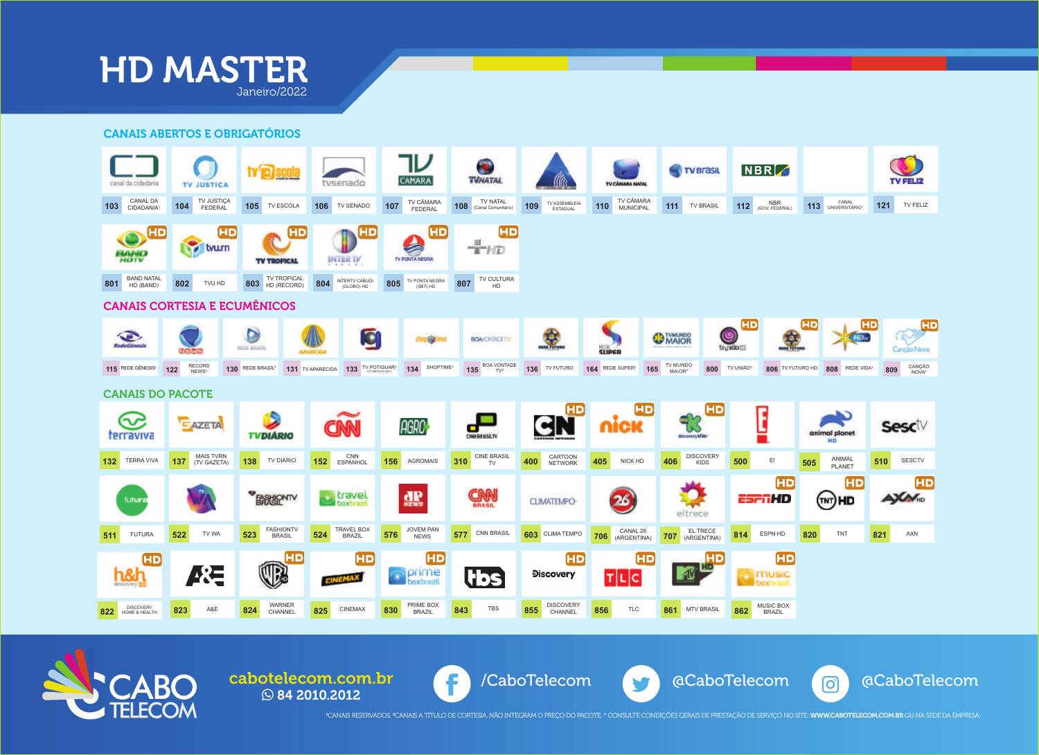

CANAIS ABERTOS E OBRIGATÓRIOS





**84 2010.2012** 

cabotelecom.com.br (F) /CaboTelecom



<sup>1</sup>CANAIS RESERVADOS. <sup>2</sup>CANAIS A TÍTULO DE CORTESIA. NÃO INTEGRAM O PREÇO DO PACOTE. \* CONSULTE CONDIÇÕES GERAIS DE PRESTAÇÃO DE SERVIÇO NO SITE: **WWW.CABOTELECOM.COM.BR** OU NA SEDE DA EMPRESA.